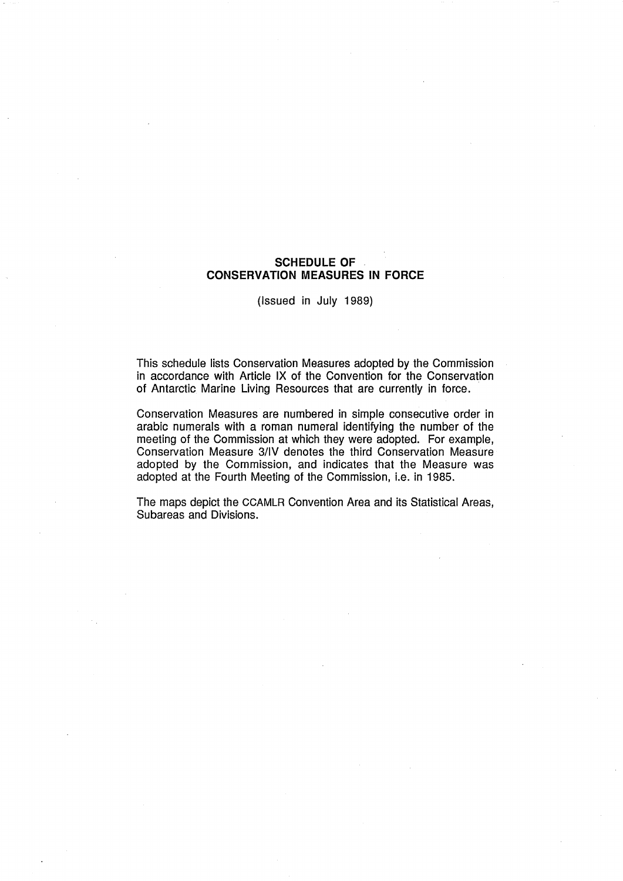# **SCHEDULE OF CONSERVATION MEASURES IN FORCE**

(Issued in July 1989)

This schedule lists Conservation Measures adopted by the Commission in accordance with Article IX of the Convention for the Conservation of Antarctic Marine Living Resources that are currently in force.

Conservation Measures are numbered in simple consecutive order in arabic numerals with a roman numeral identifying the number of the meeting of the Commission at which they were adopted. For example, Conservation Measure 3lIV denotes the third Conservation Measure adopted by the Commission, and indicates that the Measure was adopted at the Fourth Meeting of the Commission, i.e. in 1985.

The maps depict the CCAMLR Convention Area and its Statistical Areas, Subareas and Divisions.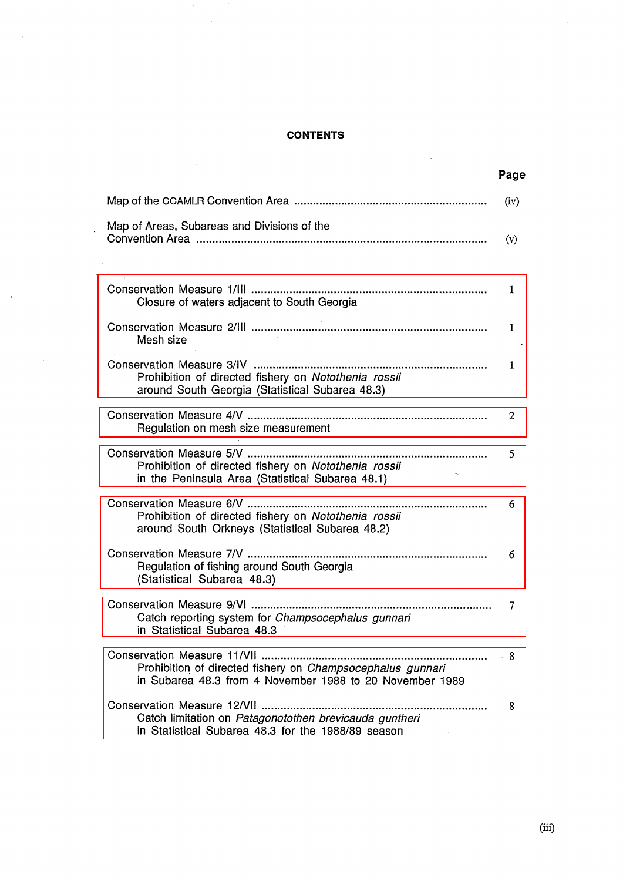# **CONTENTS**

 $\hat{\mathcal{A}}$ 

 $\bar{z}$ 

 $\ddot{\phantom{0}}$ 

 $\ddot{\phantom{a}}$ 

 $\bar{J}$ 

 $\bar{z}$ 

 $\bar{\beta}$ 

 $\bar{\gamma}$ 

|                                                                                                                                                       | Page |
|-------------------------------------------------------------------------------------------------------------------------------------------------------|------|
|                                                                                                                                                       | (iv) |
| Map of Areas, Subareas and Divisions of the                                                                                                           | (v)  |
| Closure of waters adjacent to South Georgia                                                                                                           | 1    |
| Mesh size                                                                                                                                             | 1    |
| Prohibition of directed fishery on Notothenia rossii<br>around South Georgia (Statistical Subarea 48.3)                                               | 1    |
| Regulation on mesh size measurement                                                                                                                   | 2    |
| Prohibition of directed fishery on Notothenia rossii<br>in the Peninsula Area (Statistical Subarea 48.1)                                              | 5    |
| Prohibition of directed fishery on Notothenia rossii<br>around South Orkneys (Statistical Subarea 48.2)                                               | 6    |
| Regulation of fishing around South Georgia<br>(Statistical Subarea 48.3)                                                                              | 6    |
| <br>Catch reporting system for Champsocephalus gunnari<br>in Statistical Subarea 48.3                                                                 | 7    |
| Conservation Measure 11/VII<br>Prohibition of directed fishery on Champsocephalus gunnari<br>in Subarea 48.3 from 4 November 1988 to 20 November 1989 | - 8  |
| Conservation Measure 12/VII<br>Catch limitation on Patagonotothen brevicauda guntheri<br>in Statistical Subarea 48.3 for the 1988/89 season           | 8    |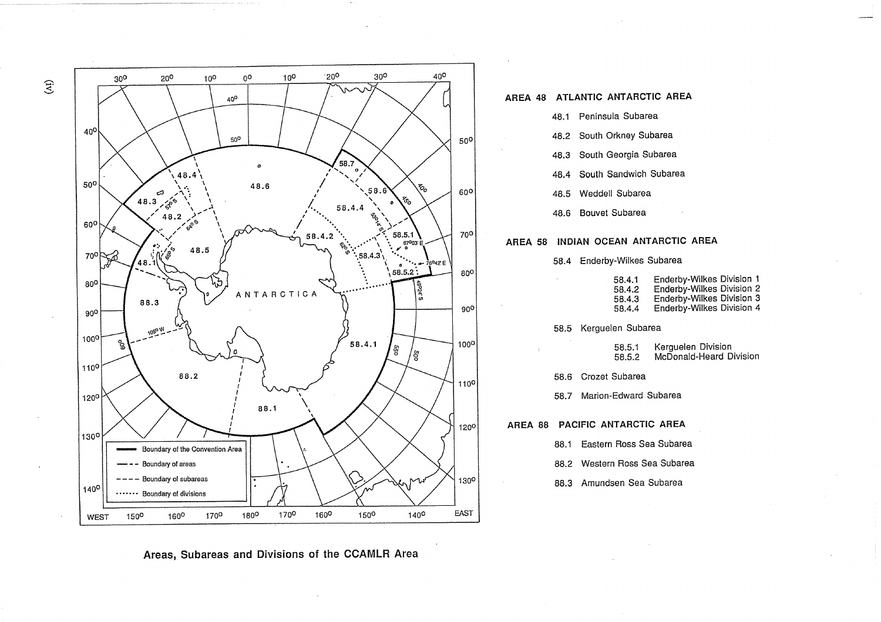

## **AREA 48 ATLANTIC ANTARCTIC AREA**

- 48.1 Peninsula Subarea
- 48.2 South Orkney Subarea
- 48.3 South Georgia Subarea
- 48.4 South Sandwich Subarea
- 48.5 Weddell Subarea
- 48.6 Bouvet Subarea

## **AREA 58 INDIAN OCEAN ANTARCTIC AREA**

58.4 Enderby-Wilkes Subarea

| 58.4.1 | Enderby-Wilkes Division 1 |
|--------|---------------------------|
| 58.4.2 | Enderby-Wilkes Division 2 |
| 58.4.3 | Enderby-Wilkes Division 3 |
| 58.4.4 | Enderby-Wilkes Division 4 |

58.5 Kerguelen Subarea

- 58.5.1 Kerguelen Division 58.5.2 McDonald-Heard Division
- 58.6 Crozet Subarea
- 58.7 Marion-Edward Subarea

**AREA 88 PACIFIC ANTARCTIC AREA** 

- 88.1 Eastern Ross Sea Subarea
- 88.2 Western Ross Sea Subarea
- 88.3 Amundsen Sea Subarea

**Areas, Subareas and Divisions of the CCAMLR Area** 

 $\widetilde{E}$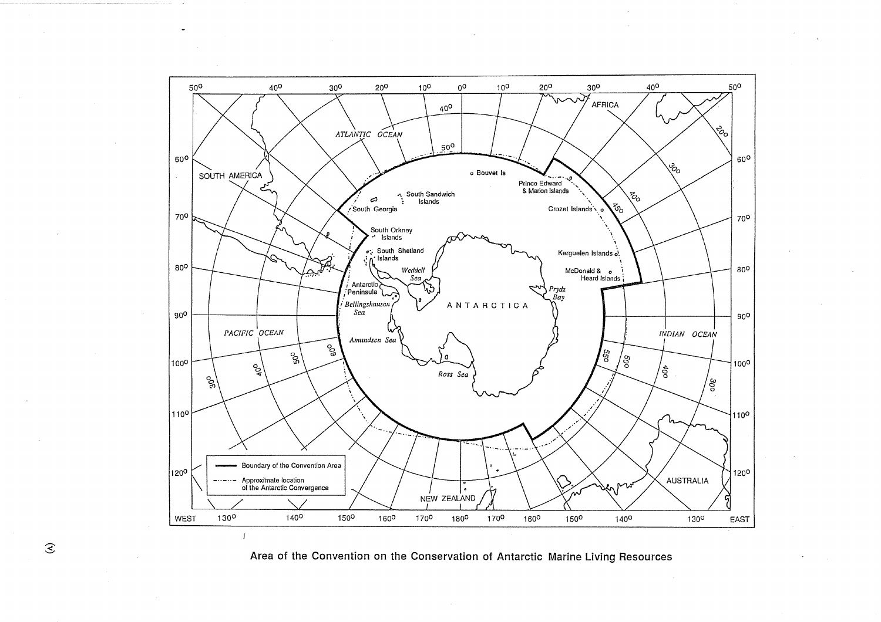



 $\mathcal{E}$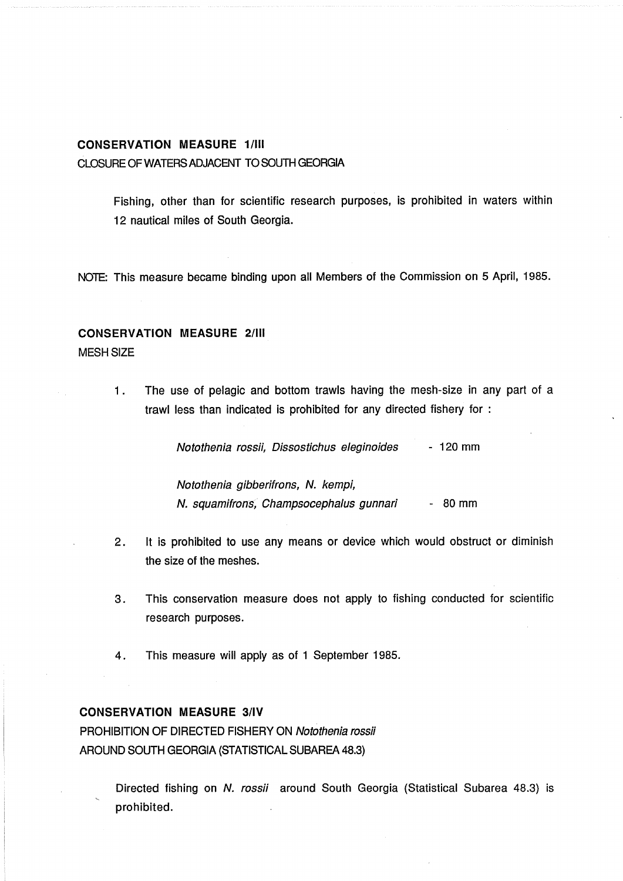## <span id="page-4-0"></span>**CONSERVATION MEASURE 11III**

CLOSURE OF WATERS ADJACENT TO SOUTH GEORGIA

Fishing, other than for scientific research purposes, is prohibited in waters within 12 nautical miles of South Georgia.

NOTE: This measure became binding upon all Members of the Commission on 5 April, 1985.

# **CONSERVATION MEASURE 2/III**

#### MESH SIZE

1. The use of pelagic and bottom trawls having the mesh-size in any part of a trawl less than indicated is prohibited for any directed fishery for :

Notothenia rossii, Dissostichus eleginoides - 120 mm

Notothenia gibberifrons, N. kempi, N. squamifrons, Champsocephalus gunnari - 80 mm

- 2. It is prohibited to use any means or device which would obstruct or diminish the size of the meshes.
- **3.** This conservation measure does not apply to fishing conducted for scientific research purposes.
- 4. This measure will apply as of 1 September 1985.

## **CONSERVATION MEASURE 3lIV**

PROHIBITION OF DIRECTED FISHERY ON Notothenia rossii AROUND SOUTH GEORGIA (STATISTICAL SUBAREA 48.3)

> Directed fishing on N. rossii around South Georgia (Statistical Subarea 48.3) is prohibited.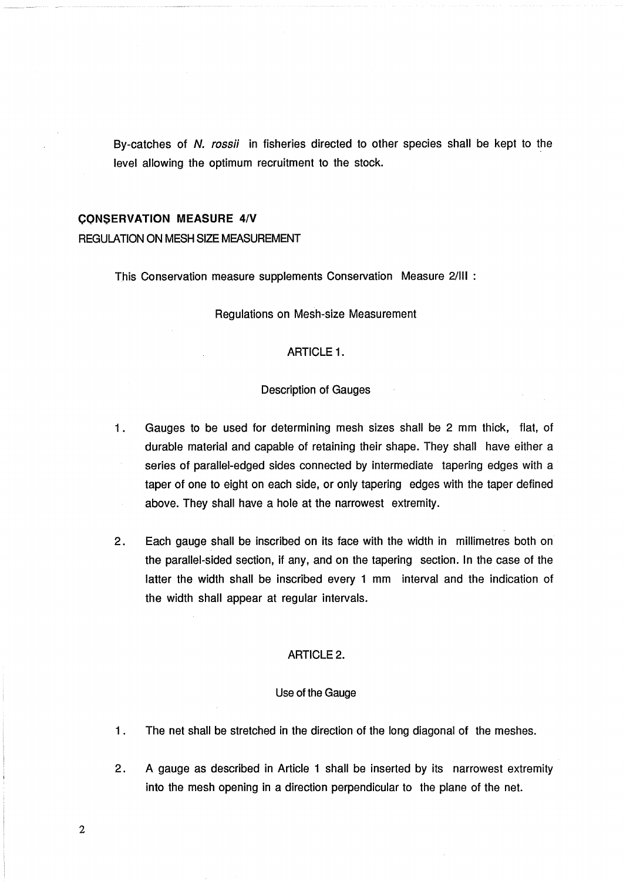<span id="page-5-0"></span>By-catches of N. rossii in fisheries directed to other species shall be kept to the level allowing the optimum recruitment to the stock.

#### **CONSERVATION MEASURE 4/V**

## REGUIATION ON MESH SIZE MEASUREMENT

This Conservation measure supplements Conservation Measure 2/III :

Regulations on Mesh-size Measurement

## ARTICLE 1.

## Description of Gauges

- 1. Gauges to be used for determining mesh sizes shall be 2 mm thick, flat, of durable material and capable of retaining their shape. They shall have either a  $\alpha$ series of parallel-edged sides connected by intermediate tapering edges with a taper of one to eight on each side, or only tapering edges with the taper defined above. They shall have a hole at the narrowest extremity.
- **2.** Each gauge shall be inscribed on its face with the width in millimetres both on the parallel-sided section, if any, and on the tapering section. In the case of the latter the width shall be inscribed every 1 mm interval and the indication of the width shall appear at regular intervals.

## ARTICLE 2.

#### Use of the Gauge

- 1 . The net shall be stretched in the direction of the long diagonal of the meshes.
- **2.** A gauge as described in Article 1 shall be inserted by its narrowest extremity into the mesh opening in a direction perpendicular to the plane of the net.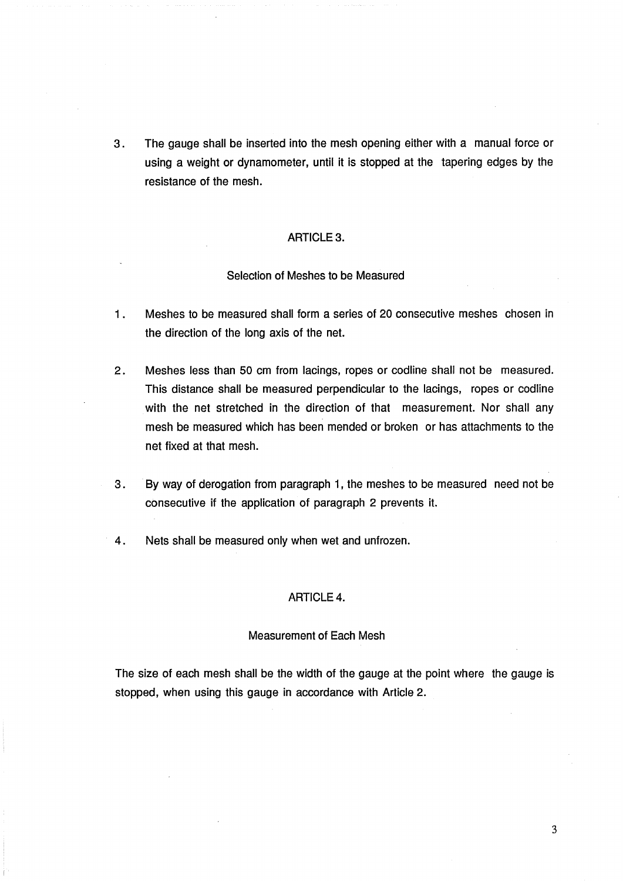**3.** The gauge shall be inserted into the mesh opening either with a manual force or using a weight or dynamometer, until it is stopped at the tapering edges by the resistance of the mesh.

## ARTICLE 3.

## Selection of Meshes to be Measured

- 1. Meshes to be measured shall form a series of 20 consecutive meshes chosen in the direction of the long axis of the net.
- **2.** Meshes less than 50 cm from lacings, ropes or codline shall not be measured. This distance shall be measured perpendicular to the lacings, ropes or codline with the net stretched in the direction of that measurement. Nor shall any mesh be measured which has been mended or broken or has attachments to the net fixed at that mesh.
- **3.** By way of derogation from paragraph l, the meshes to be measured need not be consecutive if the application of paragraph 2 prevents it.
- **4.** Nets shall be measured only when wet and unfrozen.

### ARTICLE 4.

#### Measurement of Each Mesh

The size of each mesh shall be the width of the gauge at the point where the gauge is stopped, when using this gauge in accordance with Article 2.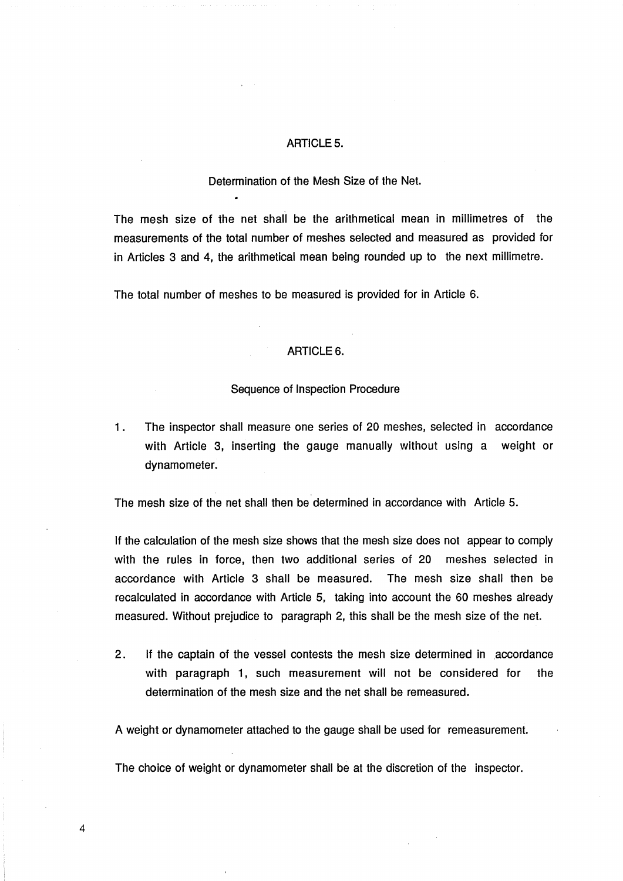## ARTICLE 5.

## Determination of the Mesh Size of the Net.

The mesh size of the net shall be the arithmetical mean in millimetres of the measurements of the total number of meshes selected and measured as provided for in Articles 3 and **4,** the arithmetical mean being rounded up to the next millimetre.

The total number of meshes to be measured is provided for in Article 6.

## ARTICLE 6.

#### Sequence of Inspection Procedure

1. The inspector shall measure one series of 20 meshes, selected in accordance with Article 3, inserting the gauge manually without using a weight or dynamometer.

The mesh size of the net shall then be determined in accordance with Article 5.

If the calculation of the mesh size shows that the mesh size does not appear to comply with the rules in force, then two additional series of 20 meshes selected in accordance with Article 3 shall be measured. The mesh size shall then be recalculated in accordance with Article 5, taking into account the 60 meshes already measured. Without prejudice to paragraph 2, this shall be the mesh size of the net.

2. If the captain of the vessel contests the mesh size determined in accordance with paragraph 1, such measurement will not be considered for the determination of the mesh size and the net shall be remeasured.

A weight or dynamometer attached to the gauge shall be used for remeasurement.

The choice of weight or dynamometer shall be at the discretion of the inspector.

4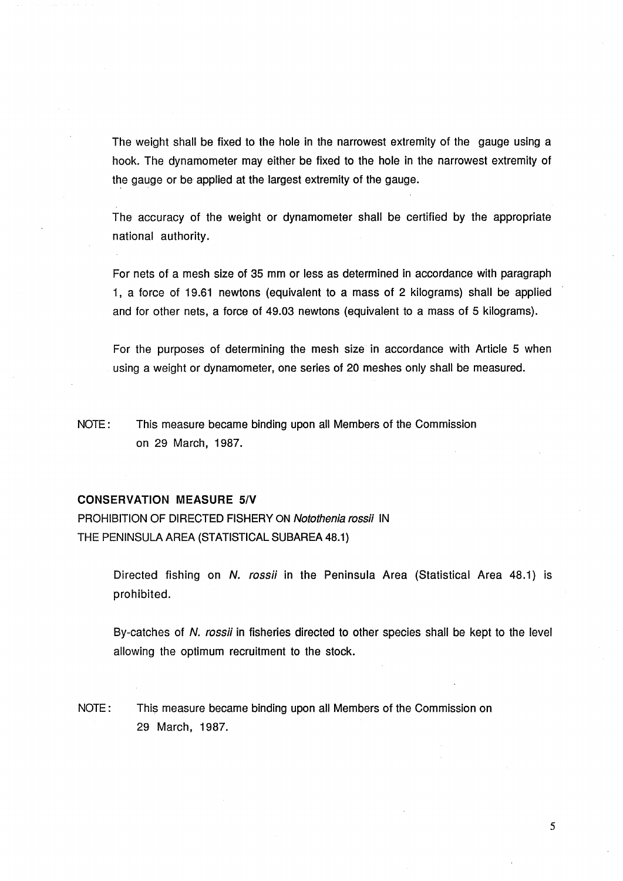<span id="page-8-0"></span>The weight shall be fixed to the hole in the narrowest extremity of the gauge using a hook. The dynamometer may either be fixed to the hole in the narrowest extremity of the gauge or be applied at the largest extremity of the gauge.

The accuracy of the weight or dynamometer shall be certified by the appropriate national authority.

For nets of a mesh size of 35 mm or less as determined in accordance with paragraph 1, a force of 19.61 newtons (equivalent to a mass of 2 kilograms) shall be applied and for other nets, a force of 49.03 newtons (equivalent to a mass of 5 kilograms).

For the purposes of determining the mesh size in accordance with Article 5 when using a weight or dynamometer, one series of 20 meshes only shall be measured.

NOTE: This measure became binding upon all Members of the Commission on 29 March, 1987.

#### **CONSERVATION MEASURE 51V**

PROHIBITION **OF** DIRECTED FISHERY ON Notothenia rossii IN THE PENINSULA AREA (STATISTICAL SUBAREA 48.1)

> Directed fishing on N. rossii in the Peninsula Area (Statistical Area 48.1) is prohibited.

> By-catches of N. rossii in fisheries directed to other species shall be kept to the level allowing the optimum recruitment to the stock.

NOTE: This measure became binding upon all Members of the Commission on 29 March, 1987.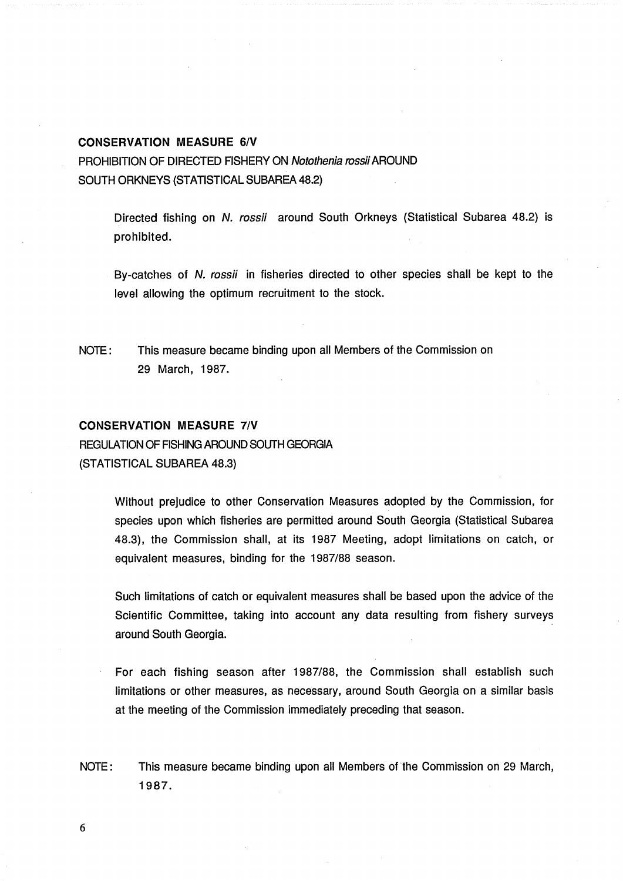#### <span id="page-9-0"></span>**CONSERVATION MEASURE 6/V**

PROHIBITION OF DIRECTED FISHERY ON Notothenia rossii AROUND SOUTH ORKNEYS (STATISTICAL SUBAREA 48.2)

> Directed fishing on N. rossii around South Orkneys (Statistical Subarea 48.2) is prohibited.

> By-catches of N. rossii in fisheries directed to other species shall be kept to the level allowing the optimum recruitment to the stock.

NOTE: This measure became binding upon all Members of the Commission on 29 March, 1987.

## **CONSERVATION MEASURE 7/V**

REGULATION OF FISHING AROUND SOUTH GEORGIA (STATISTICAL SUBAREA 48.3)

> Without prejudice to other Conservation Measures adopted by the Commission, for species upon which fisheries are permitted around South Georgia (Statistical Subarea 48.3), the Commission shall, at its 1987 Meeting, adopt limitations on catch, or equivalent measures, binding for the 1987/88 season.

> Such limitations of catch or equivalent measures shall be based upon the advice of the Scientific Committee, taking into account any data resulting from fishery surveys around South Georgia.

> For each fishing season after 1987/88, the Commission shall establish such limitations or other measures, as necessary, around South Georgia on a similar basis at the meeting of the Commission immediately preceding that season.

NOTE: This measure became binding upon all Members of the Commission on 29 March, 1987.

6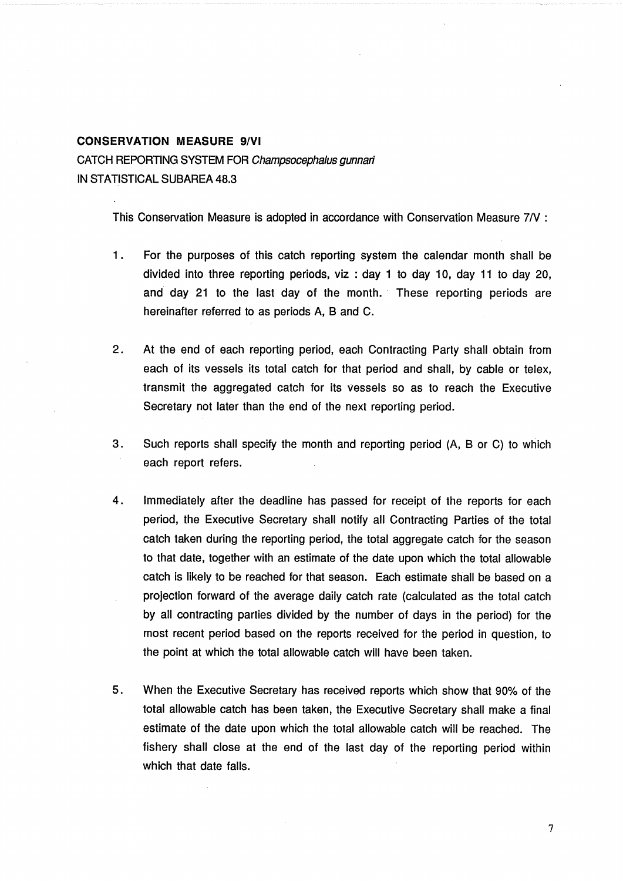# <span id="page-10-0"></span>**CONSERVATION MEASURE 9/VI** CATCH REPORTING SYSTEM FOR Champsocephalus gunnan' IN STATISTICAL SUBAREA 48.3

This Conservation Measure is adopted in accordance with Conservation Measure 7IV :

- 1 . For the purposes of this catch reporting system the calendar month shall be divided into three reporting periods, viz : day 1 to day 10, day 11 to day 20, and day 21 to the last day of the month. These reporting periods are hereinafter referred to as periods A, B and C.
- 2. At the end of each reporting period, each Contracting Party shall obtain from each of its vessels its total catch for that period and shall, by cable or telex, transmit the aggregated catch for its vessels so as to reach the Executive Secretary not later than the end of the next reporting period.
- 3. Such reports shall specify the month and reporting period (A, B or C) to which each report refers.
- 4. Immediately after the deadline has passed for receipt of the reports for each period, the Executive Secretary shall notify all Contracting Parties of the total catch taken during the reporting period, the total aggregate catch for the season to that date, together with an estimate of the date upon which the total allowable catch is likely to be reached for that season. Each estimate shall be based on a projection forward of the average daily catch rate (calculated as the total catch by all contracting parties divided by the number of days in the period) for the most recent period based on the reports received for the period in question, to the point at which the total allowable catch will have been taken.
- **5.** When the Executive Secretary has received reports which show that 90% of the total allowable catch has been taken, the Executive Secretary shall make a final estimate of the date upon which the total allowable catch will be reached. The fishery shall close at the end of the last day of the reporting period within which that date falls.